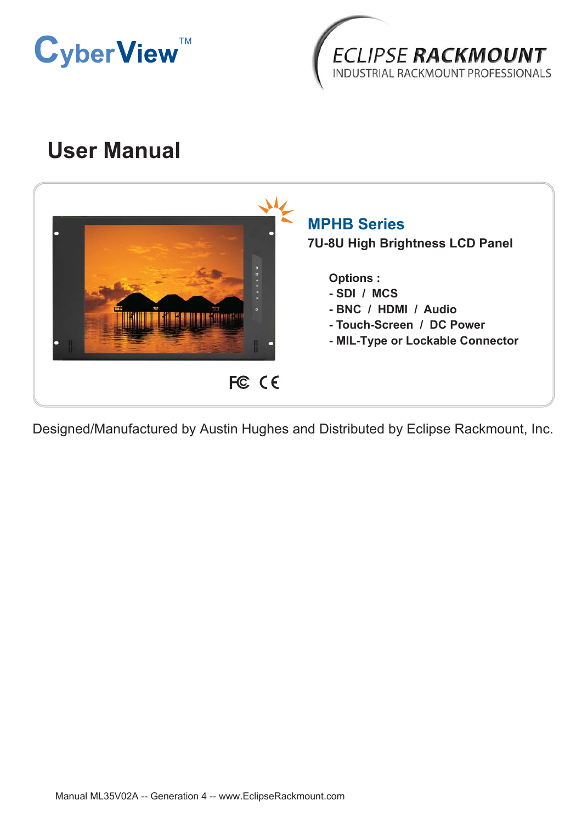



# **User Manual**



Designed/Manufactured by Austin Hughes and Distributed by Eclipse Rackmount, Inc.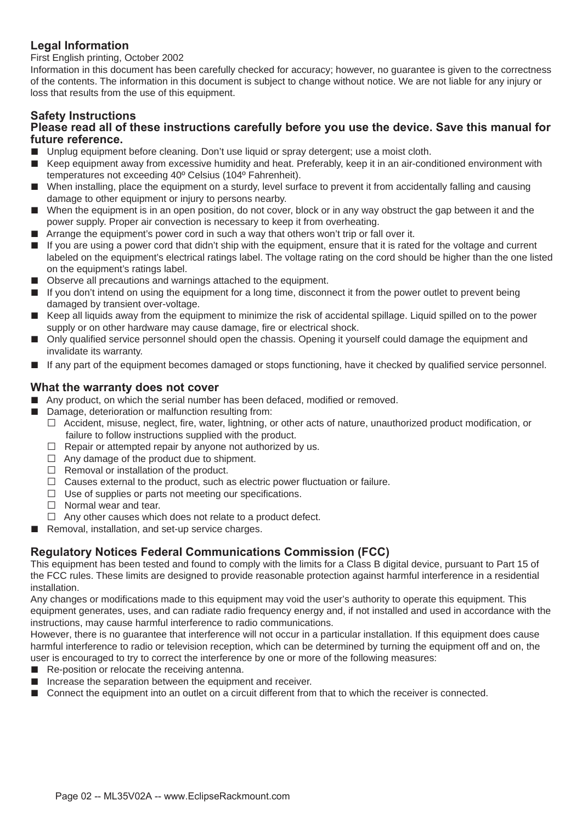### **Legal Information**

First English printing, October 2002

Information in this document has been carefully checked for accuracy; however, no guarantee is given to the correctness of the contents. The information in this document is subject to change without notice. We are not liable for any injury or loss that results from the use of this equipment.

#### **Safety Instructions**

#### **Please read all of these instructions carefully before you use the device. Save this manual for future reference.**

- Unplug equipment before cleaning. Don't use liquid or spray detergent; use a moist cloth.
- Keep equipment away from excessive humidity and heat. Preferably, keep it in an air-conditioned environment with temperatures not exceeding 40º Celsius (104º Fahrenheit).
- When installing, place the equipment on a sturdy, level surface to prevent it from accidentally falling and causing damage to other equipment or injury to persons nearby.
- When the equipment is in an open position, do not cover, block or in any way obstruct the gap between it and the power supply. Proper air convection is necessary to keep it from overheating.
- Arrange the equipment's power cord in such a way that others won't trip or fall over it.
- If you are using a power cord that didn't ship with the equipment, ensure that it is rated for the voltage and current labeled on the equipment's electrical ratings label. The voltage rating on the cord should be higher than the one listed on the equipment's ratings label.
- Observe all precautions and warnings attached to the equipment.
- If you don't intend on using the equipment for a long time, disconnect it from the power outlet to prevent being damaged by transient over-voltage.
- Keep all liquids away from the equipment to minimize the risk of accidental spillage. Liquid spilled on to the power supply or on other hardware may cause damage, fire or electrical shock.
- Only qualified service personnel should open the chassis. Opening it yourself could damage the equipment and invalidate its warranty.
- If any part of the equipment becomes damaged or stops functioning, have it checked by qualified service personnel.

#### **What the warranty does not cover**

- Any product, on which the serial number has been defaced, modified or removed.
- Damage, deterioration or malfunction resulting from:
	- $\Box$  Accident, misuse, neglect, fire, water, lightning, or other acts of nature, unauthorized product modification, or failure to follow instructions supplied with the product.
	- $\Box$  Repair or attempted repair by anyone not authorized by us.
	- $\Box$  Any damage of the product due to shipment.
	- $\Box$  Removal or installation of the product.
	- $\Box$  Causes external to the product, such as electric power fluctuation or failure.
	- $\Box$  Use of supplies or parts not meeting our specifications.
	- $\Box$  Normal wear and tear.
	- $\Box$  Any other causes which does not relate to a product defect.
- Removal, installation, and set-up service charges.

#### **Regulatory Notices Federal Communications Commission (FCC)**

This equipment has been tested and found to comply with the limits for a Class B digital device, pursuant to Part 15 of the FCC rules. These limits are designed to provide reasonable protection against harmful interference in a residential installation.

Any changes or modifications made to this equipment may void the user's authority to operate this equipment. This equipment generates, uses, and can radiate radio frequency energy and, if not installed and used in accordance with the instructions, may cause harmful interference to radio communications.

However, there is no guarantee that interference will not occur in a particular installation. If this equipment does cause harmful interference to radio or television reception, which can be determined by turning the equipment off and on, the user is encouraged to try to correct the interference by one or more of the following measures:

- Re-position or relocate the receiving antenna.
- Increase the separation between the equipment and receiver.
- Connect the equipment into an outlet on a circuit different from that to which the receiver is connected.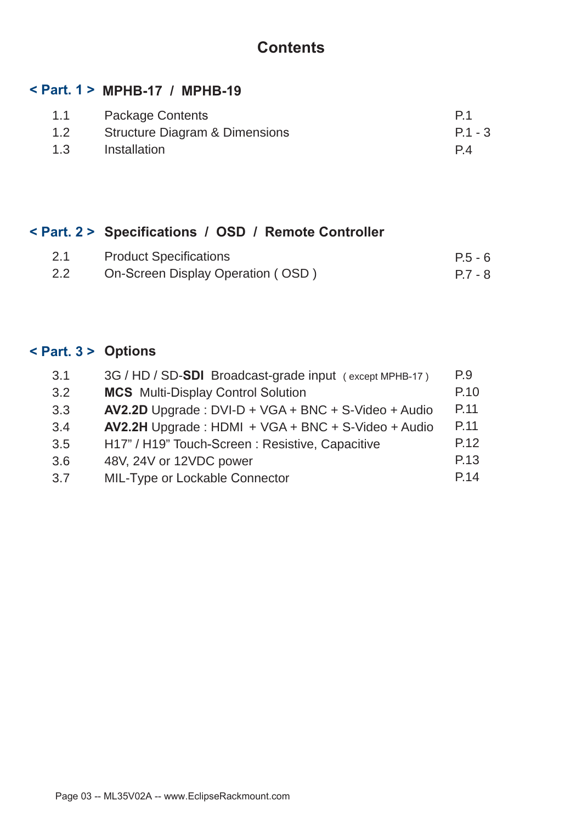## **Contents**

### **< Part. 1 > MPHB-17 / MPHB-19**

| 1.1 | <b>Package Contents</b>        | P <sub>1</sub> |
|-----|--------------------------------|----------------|
| 1.2 | Structure Diagram & Dimensions | $P.1 - 3$      |
| 1.3 | Installation                   | P4             |

### **< Part. 2 > Specifications / OSD / Remote Controller**

| 2.1 | <b>Product Specifications</b>     | $P.5 - 6$ |
|-----|-----------------------------------|-----------|
| 2.2 | On-Screen Display Operation (OSD) | $P.7 - 8$ |

## **< Part. 3 > Options**

| 3.1 | 3G / HD / SD-SDI Broadcast-grade input (except MPHB-17) | P.9  |
|-----|---------------------------------------------------------|------|
| 3.2 | <b>MCS</b> Multi-Display Control Solution               | P.10 |
| 3.3 | AV2.2D Upgrade: DVI-D + VGA + BNC + S-Video + Audio     | P.11 |
| 3.4 | AV2.2H Upgrade: HDMI + VGA + BNC + S-Video + Audio      | P.11 |
| 3.5 | H17" / H19" Touch-Screen : Resistive, Capacitive        | P.12 |
| 3.6 | 48V, 24V or 12VDC power                                 | P.13 |
| 3.7 | <b>MIL-Type or Lockable Connector</b>                   | P.14 |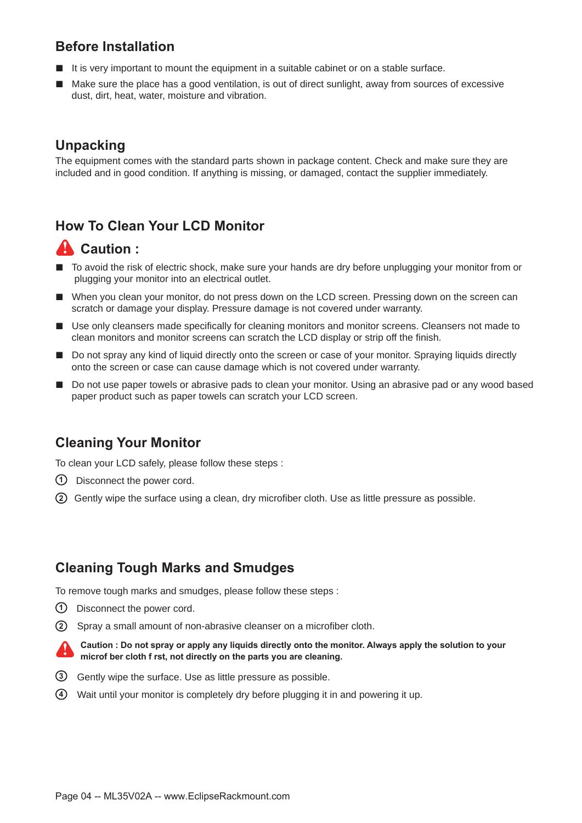### **Before Installation**

- It is very important to mount the equipment in a suitable cabinet or on a stable surface.
- Make sure the place has a good ventilation, is out of direct sunlight, away from sources of excessive dust, dirt, heat, water, moisture and vibration.

### **Unpacking**

The equipment comes with the standard parts shown in package content. Check and make sure they are included and in good condition. If anything is missing, or damaged, contact the supplier immediately.

### **How To Clean Your LCD Monitor**

### **A** Caution :

- To avoid the risk of electric shock, make sure your hands are dry before unplugging your monitor from or plugging your monitor into an electrical outlet.
- When you clean your monitor, do not press down on the LCD screen. Pressing down on the screen can scratch or damage your display. Pressure damage is not covered under warranty.
- Use only cleansers made specifically for cleaning monitors and monitor screens. Cleansers not made to clean monitors and monitor screens can scratch the LCD display or strip off the finish.
- Do not spray any kind of liquid directly onto the screen or case of your monitor. Spraying liquids directly onto the screen or case can cause damage which is not covered under warranty.
- Do not use paper towels or abrasive pads to clean your monitor. Using an abrasive pad or any wood based paper product such as paper towels can scratch your LCD screen.

### **Cleaning Your Monitor**

To clean your LCD safely, please follow these steps :

- Disconnect the power cord. **1**
- (2) Gently wipe the surface using a clean, dry microfiber cloth. Use as little pressure as possible.

### **Cleaning Tough Marks and Smudges**

To remove tough marks and smudges, please follow these steps :

- $\bigcirc$  Disconnect the power cord.
- (2) Spray a small amount of non-abrasive cleanser on a microfiber cloth.

**Caution : Do not spray or apply any liquids directly onto the monitor. Always apply the solution to your microf ber cloth f rst, not directly on the parts you are cleaning.**

- Gently wipe the surface. Use as little pressure as possible. **3**
- Wait until your monitor is completely dry before plugging it in and powering it up. **4**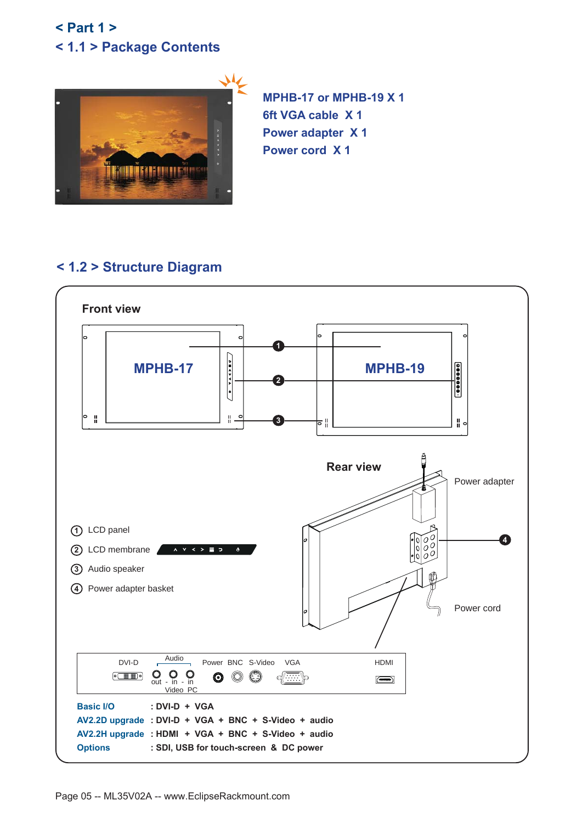### **< 1.1 > Package Contents < Part 1 >**



**MPHB-17 or MPHB-19 X 1 6ft VGA cable X 1 Power adapter X 1 Power cord X 1**

### **< 1.2 > Structure Diagram**

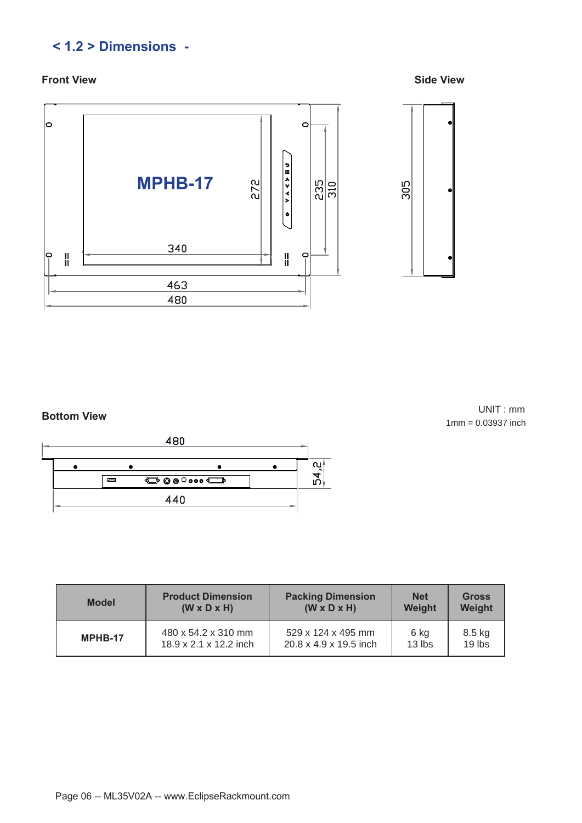### **< 1.2 > Dimensions -**

#### **Front View Side View**



UNIT : mm 1mm = 0.03937 inch **Bottom View**



| <b>Model</b> | <b>Product Dimension</b> | <b>Packing Dimension</b> | <b>Net</b> | <b>Gross</b> |
|--------------|--------------------------|--------------------------|------------|--------------|
|              | $(W \times D \times H)$  | $(W \times D \times H)$  | Weight     | Weight       |
| MPHB-17      | 480 x 54.2 x 310 mm      | 529 x 124 x 495 mm       | 6 kg       | 8.5 kg       |
|              | 18.9 x 2.1 x 12.2 inch   | 20.8 x 4.9 x 19.5 inch   | $13$ lbs   | 19 lbs       |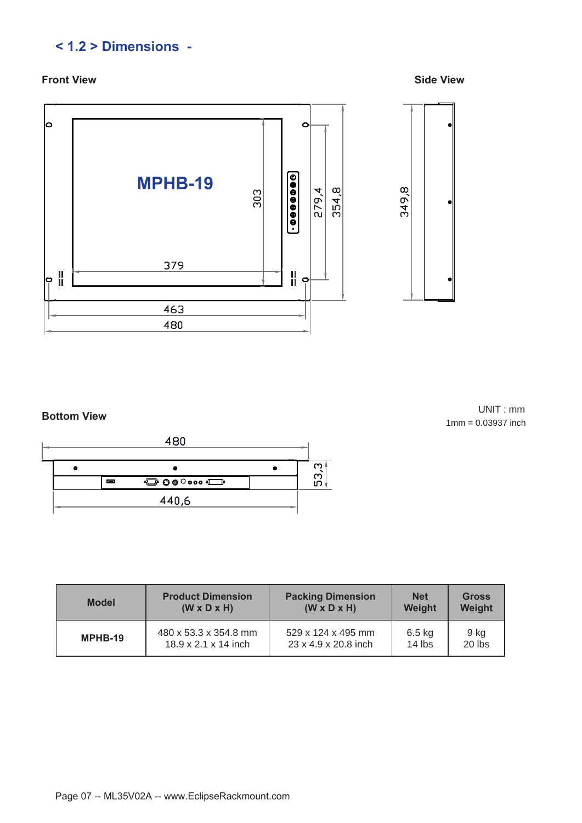### **< 1.2 > Dimensions -**

#### **Front View Side View**



UNIT : mm 1mm = 0.03937 inch **Bottom View**



| <b>Model</b> | <b>Product Dimension</b>         | <b>Packing Dimension</b> | <b>Net</b> | <b>Gross</b> |
|--------------|----------------------------------|--------------------------|------------|--------------|
|              | $(W \times D \times H)$          | $(W \times D \times H)$  | Weight     | Weight       |
| MPHB-19      | 480 x 53.3 x 354.8 mm            | 529 x 124 x 495 mm       | $6.5$ kg   | 9 kg         |
|              | $18.9 \times 2.1 \times 14$ inch | 23 x 4.9 x 20.8 inch     | $14$ lbs   | 20 lbs       |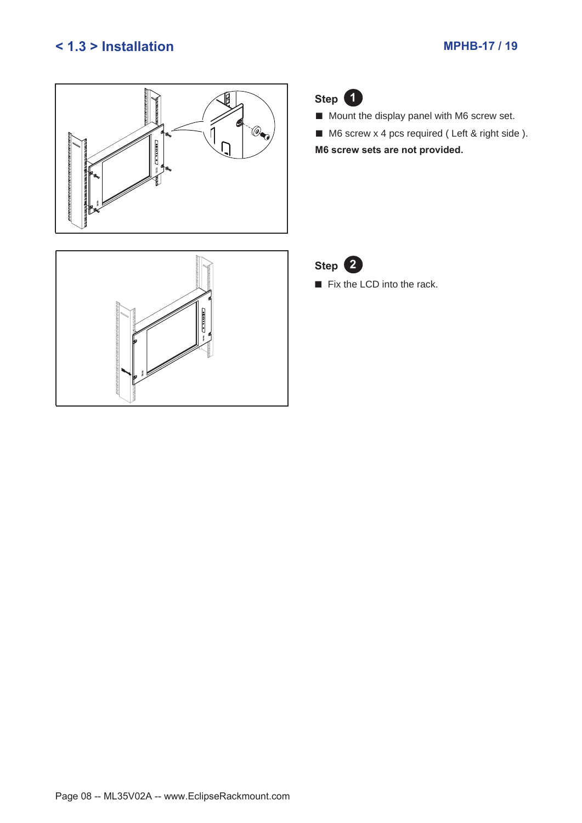### **< 1.3 > Installation MPHB-17 / 19**





■ Mount the display panel with M6 screw set.

■ M6 screw x 4 pcs required (Left & right side). **M6 screw sets are not provided.**



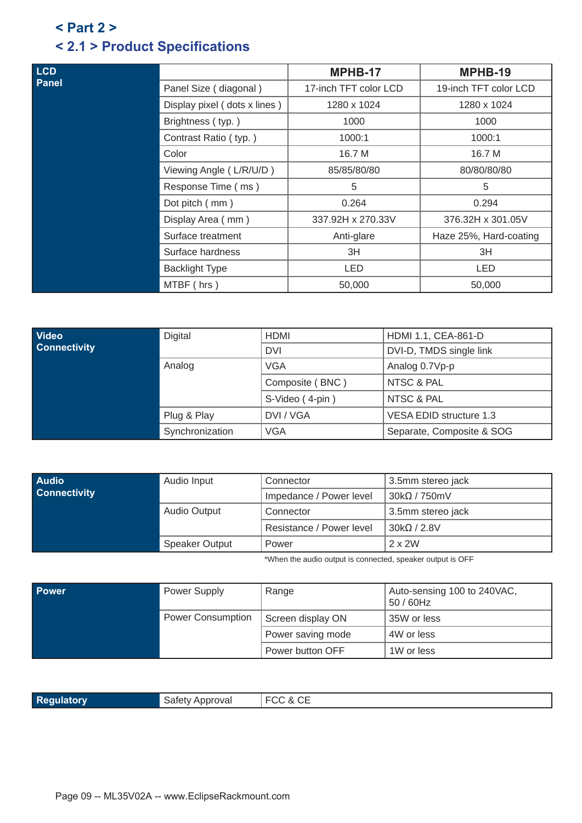### **< 2.1 > Product Specifications < Part 2 >**

| <b>LCD</b>   |                              | MPHB-17               | MPHB-19                |
|--------------|------------------------------|-----------------------|------------------------|
| <b>Panel</b> | Panel Size (diagonal)        | 17-inch TFT color LCD | 19-inch TFT color LCD  |
|              | Display pixel (dots x lines) | 1280 x 1024           | 1280 x 1024            |
|              | Brightness (typ.)            | 1000                  | 1000                   |
|              | Contrast Ratio (typ.)        | 1000:1                | 1000:1                 |
|              | Color                        | 16.7 M                | 16.7 M                 |
|              | Viewing Angle (L/R/U/D)      | 85/85/80/80           | 80/80/80/80            |
|              | Response Time (ms)           | 5                     | 5                      |
|              | Dot pitch (mm)               | 0.264                 | 0.294                  |
|              | Display Area (mm)            | 337.92H x 270.33V     | 376.32H x 301.05V      |
|              | Surface treatment            | Anti-glare            | Haze 25%, Hard-coating |
|              | Surface hardness             | 3H                    | 3H                     |
|              | <b>Backlight Type</b>        | LED                   | <b>LED</b>             |
|              | MTBF (hrs)                   | 50,000                | 50,000                 |

| <b>Video</b>        | Digital         | <b>HDMI</b>     | HDMI 1.1, CEA-861-D       |
|---------------------|-----------------|-----------------|---------------------------|
| <b>Connectivity</b> |                 | <b>DVI</b>      | DVI-D, TMDS single link   |
|                     | Analog          | <b>VGA</b>      | Analog 0.7Vp-p            |
|                     | Plug & Play     | Composite (BNC) | NTSC & PAL                |
|                     |                 | S-Video (4-pin) | NTSC & PAL                |
|                     |                 | DVI / VGA       | VESA EDID structure 1.3   |
|                     | Synchronization | <b>VGA</b>      | Separate, Composite & SOG |

| <b>Audio</b>        | Audio Input                                  | Connector                | 3.5mm stereo jack |
|---------------------|----------------------------------------------|--------------------------|-------------------|
| <b>Connectivity</b> |                                              | Impedance / Power level  | $30k\Omega/750mV$ |
|                     | <b>Audio Output</b><br><b>Speaker Output</b> | Connector                | 3.5mm stereo jack |
|                     |                                              | Resistance / Power level | $30k\Omega/2.8V$  |
|                     |                                              | Power                    | $2 \times 2W$     |

\*When the audio output is connected, speaker output is OFF

| <b>Power</b> | Power Supply             | Range             | Auto-sensing 100 to 240VAC,<br>$50/60$ Hz |
|--------------|--------------------------|-------------------|-------------------------------------------|
|              | <b>Power Consumption</b> | Screen display ON | 35W or less                               |
|              |                          | Power saving mode | 4W or less                                |
|              |                          | Power button OFF  | 1W or less                                |

| Reg | SATATY A<br>ιρρισναι |  |
|-----|----------------------|--|
|     |                      |  |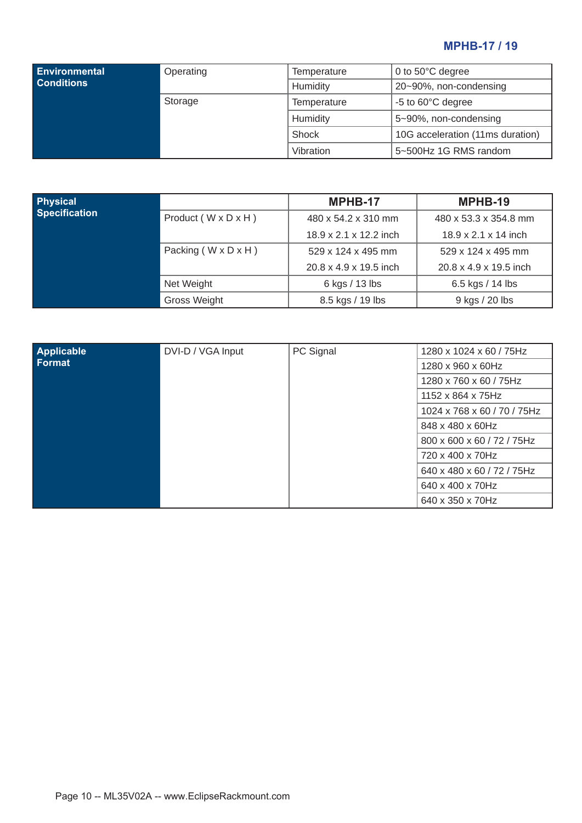### **MPHB-17 / 19**

| <b>Environmental</b><br><b>Conditions</b> | Operating | Temperature<br>Humidity | 0 to $50^{\circ}$ C degree<br>20~90%, non-condensing |
|-------------------------------------------|-----------|-------------------------|------------------------------------------------------|
|                                           | Storage   | Temperature             | -5 to 60°C degree                                    |
|                                           |           | Humidity                | 5~90%, non-condensing                                |
|                                           |           | Shock                   | 10G acceleration (11ms duration)                     |
|                                           |           | Vibration               | 5~500Hz 1G RMS random                                |

| Physical             |                                   | MPHB-17                | MPHB-19                          |
|----------------------|-----------------------------------|------------------------|----------------------------------|
| <b>Specification</b> | Product ( $W \times D \times H$ ) | 480 x 54.2 x 310 mm    | 480 x 53.3 x 354.8 mm            |
|                      |                                   | 18.9 x 2.1 x 12.2 inch | $18.9 \times 2.1 \times 14$ inch |
|                      | Packing ( $W \times D \times H$ ) | 529 x 124 x 495 mm     | $529 \times 124 \times 495$ mm   |
|                      |                                   | 20.8 x 4.9 x 19.5 inch | 20.8 x 4.9 x 19.5 inch           |
|                      | Net Weight                        | 6 kgs / 13 lbs         | 6.5 kgs / 14 lbs                 |
|                      | Gross Weight                      | 8.5 kgs / 19 lbs       | 9 kgs / 20 lbs                   |

| <b>Applicable</b> | DVI-D / VGA Input | PC Signal | 1280 x 1024 x 60 / 75Hz     |
|-------------------|-------------------|-----------|-----------------------------|
| Format            |                   |           | 1280 x 960 x 60Hz           |
|                   |                   |           | 1280 x 760 x 60 / 75Hz      |
|                   |                   |           | 1152 x 864 x 75Hz           |
|                   |                   |           | 1024 x 768 x 60 / 70 / 75Hz |
|                   |                   |           | 848 x 480 x 60Hz            |
|                   |                   |           | 800 x 600 x 60 / 72 / 75Hz  |
|                   |                   |           | 720 x 400 x 70Hz            |
|                   |                   |           | 640 x 480 x 60 / 72 / 75Hz  |
|                   |                   |           | 640 x 400 x 70Hz            |
|                   |                   |           | 640 x 350 x 70Hz            |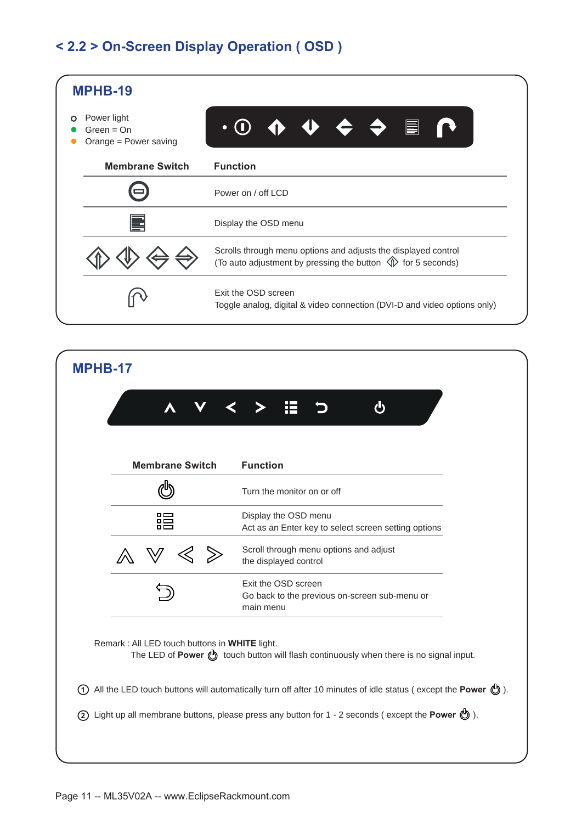### **< 2.2 > On-Screen Display Operation ( OSD )**



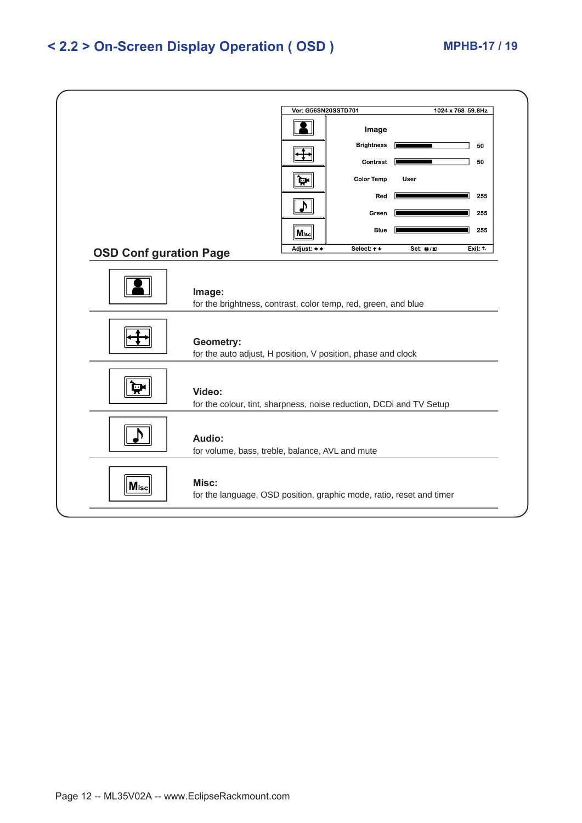### **< 2.2 > On-Screen Display Operation ( OSD ) MPHB-17 / 19**

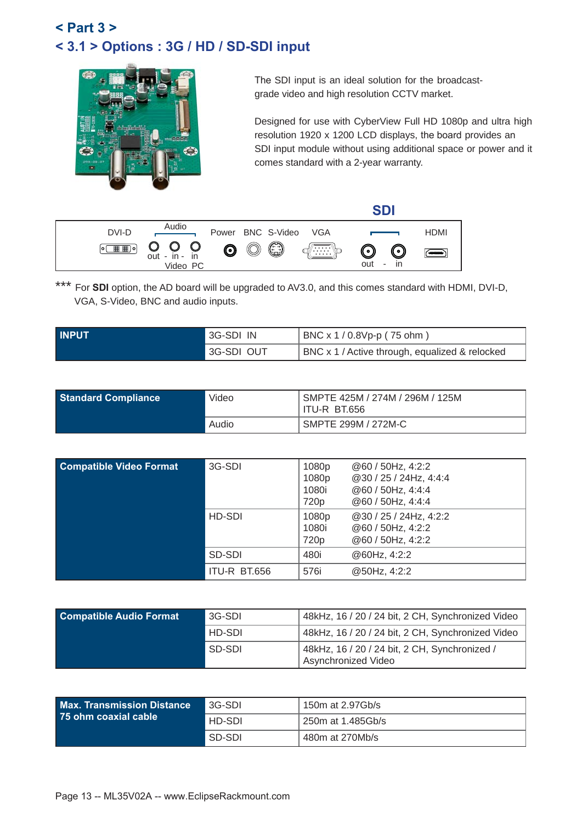## **< 3.1 > Options : 3G / HD / SD-SDI input < Part 3 >**



The SDI input is an ideal solution for the broadcastgrade video and high resolution CCTV market.

Designed for use with CyberView Full HD 1080p and ultra high resolution 1920 x 1200 LCD displays, the board provides an SDI input module without using additional space or power and it comes standard with a 2-year warranty.

|              |                                                                    |                                                   | en                        |
|--------------|--------------------------------------------------------------------|---------------------------------------------------|---------------------------|
| DVI-D        | Audio                                                              | Power BNC S-Video VGA                             | <b>HDMI</b>               |
| 圃囲)∘<br>lo i | $\cup$<br>$\bigcup_{\text{out } -\text{ in } -}$<br>in<br>Video PC | 0<br>Õ<br>$\bm{\mathsf{\odot}}$<br>∦∵∷∵:`\¢<br>)) | — " о н<br>out<br>ın<br>٠ |

\*\*\* For **SDI** option, the AD board will be upgraded to AV3.0, and this comes standard with HDMI, DVI-D, VGA, S-Video, BNC and audio inputs.

| <b>INPUT</b> | 3G-SDI IN  | BNC x 1 / 0.8Vp-p (75 ohm)                     |
|--------------|------------|------------------------------------------------|
|              | 3G-SDI OUT | BNC x 1 / Active through, equalized & relocked |

| <b>Standard Compliance</b> | Video | SMPTE 425M / 274M / 296M / 125M<br><b>ITU-R BT.656</b> |
|----------------------------|-------|--------------------------------------------------------|
|                            | Audio | SMPTE 299M / 272M-C                                    |

| <b>Compatible Video Format</b> | 3G-SDI       | 1080p<br>1080p<br>1080i<br>720 <sub>p</sub> | @60 / 50Hz, 4:2:2<br>@30 / 25 / 24Hz, 4:4:4<br>@60 / 50Hz, 4:4:4<br>@60 / 50Hz, 4:4:4 |
|--------------------------------|--------------|---------------------------------------------|---------------------------------------------------------------------------------------|
|                                | HD-SDI       | 1080p<br>1080i<br>720 <sub>p</sub>          | @30 / 25 / 24Hz, 4:2:2<br>@60 / 50Hz, 4:2:2<br>@60 / 50Hz, 4:2:2                      |
|                                | SD-SDI       | 480i                                        | @60Hz, 4:2:2                                                                          |
|                                | ITU-R BT.656 | 576i                                        | @50Hz, 4:2:2                                                                          |

| 3G-SDI | 48kHz, 16 / 20 / 24 bit, 2 CH, Synchronized Video                    |
|--------|----------------------------------------------------------------------|
| HD-SDI | 48kHz, 16 / 20 / 24 bit, 2 CH, Synchronized Video                    |
| SD-SDI | 48kHz, 16 / 20 / 24 bit, 2 CH, Synchronized /<br>Asynchronized Video |
|        |                                                                      |

| <b>Max. Transmission Distance</b> | 3G-SDI | 150m at 2.97Gb/s  |
|-----------------------------------|--------|-------------------|
| 25 ohm coaxial cable              | HD-SDI | 250m at 1.485Gb/s |
|                                   | SD-SDI | 480m at 270Mb/s   |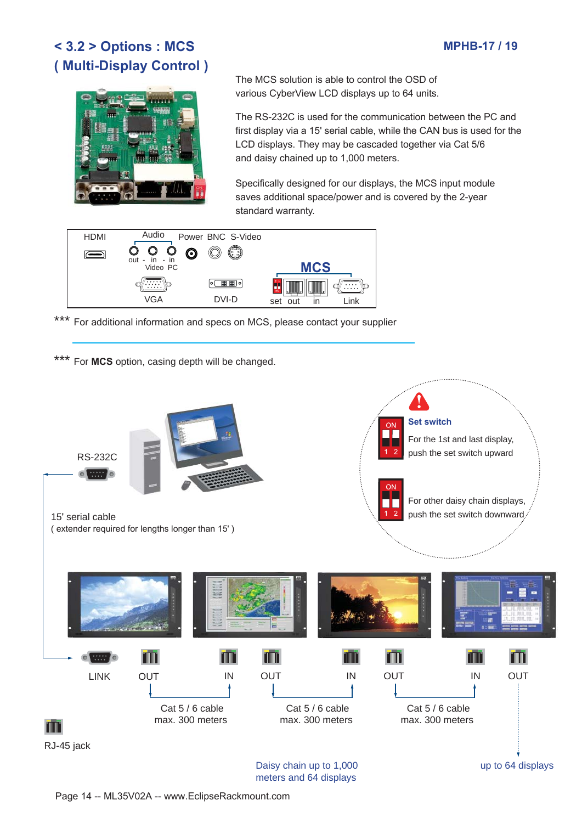### **MPHB-17 / 19**

### **< 3.2 > Options : MCS ( Multi-Display Control )**



The MCS solution is able to control the OSD of various CyberView LCD displays up to 64 units.

The RS-232C is used for the communication between the PC and first display via a 15' serial cable, while the CAN bus is used for the LCD displays. They may be cascaded together via Cat 5/6 and daisy chained up to 1,000 meters.

Specifically designed for our displays, the MCS input module saves additional space/power and is covered by the 2-year standard warranty.



\*\*\* For additional information and specs on MCS, please contact your supplier

For MCS option, casing depth will be changed.



Page 14 -- ML35V02A -- www.EclipseRackmount.com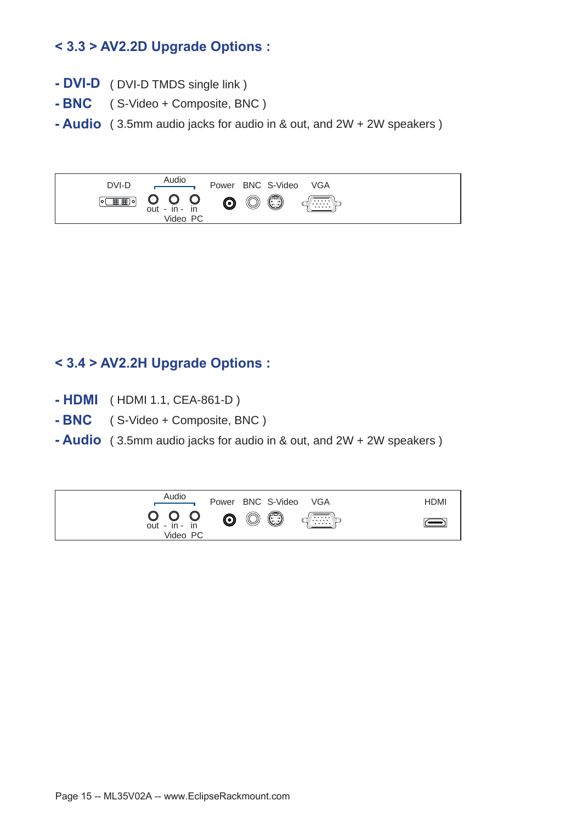### **< 3.3 > AV2.2D Upgrade Options :**

- **DVI-D**  ( DVI-D TMDS single link )
- **BNC** ( S-Video + Composite, BNC )
- **Audio** ( 3.5mm audio jacks for audio in & out, and 2W + 2W speakers )



### **< 3.4 > AV2.2H Upgrade Options :**

- **HDMI** ( HDMI 1.1, CEA-861-D )
- **BNC** ( S-Video + Composite, BNC )
- **Audio** ( 3.5mm audio jacks for audio in & out, and 2W + 2W speakers )

| Audio                                                                    | Power BNC S-Video VGA                            | <b>HDMI</b> |
|--------------------------------------------------------------------------|--------------------------------------------------|-------------|
| $\bigcirc$ $\bigcirc$ $\bigcirc$ $\bigcirc$<br>out - in - in<br>Video PC | $\circledcirc$<br>$\sqrt{\cdots}$<br>$\bf \odot$ | $ -$        |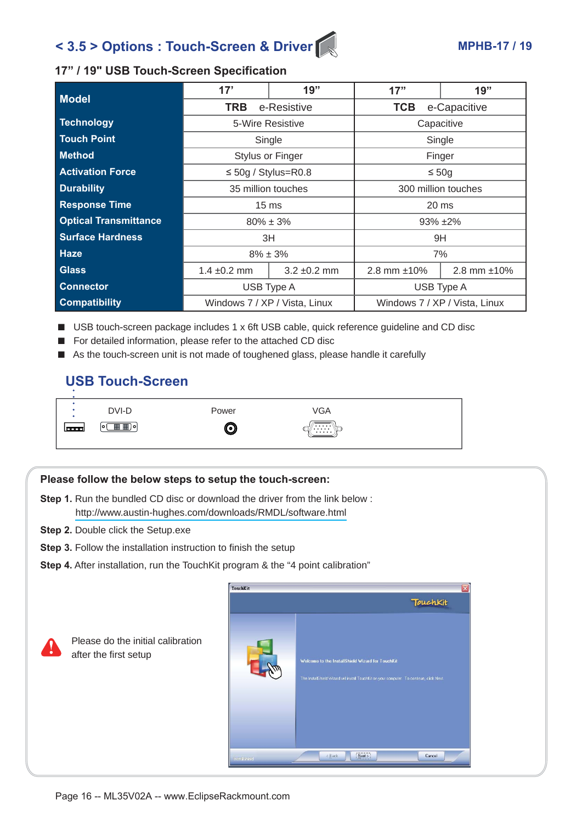## < 3.5 > Options : Touch-Screen & Driver **MPHB-17 / 19**

#### **17" / 19" USB Touch-Screen Specification**

| Model                        | 17'                                                            | 19"                     | 17"                              | 19"          |
|------------------------------|----------------------------------------------------------------|-------------------------|----------------------------------|--------------|
|                              | <b>TRB</b><br>e-Resistive                                      |                         | <b>TCB</b><br>e-Capacitive       |              |
| Technology                   |                                                                | 5-Wire Resistive        | Capacitive                       |              |
| <b>Touch Point</b>           |                                                                | Single                  |                                  | Single       |
| <b>Method</b>                |                                                                | <b>Stylus or Finger</b> |                                  | Finger       |
| <b>Activation Force</b>      | $\leq$ 50g / Stylus=R0.8<br>$\leq 50g$                         |                         |                                  |              |
| <b>Durability</b>            | 35 million touches<br>300 million touches                      |                         |                                  |              |
| <b>Response Time</b>         | 15 <sub>ms</sub>                                               |                         | $20 \text{ ms}$                  |              |
| <b>Optical Transmittance</b> | $80\% \pm 3\%$                                                 |                         |                                  | $93\% + 2\%$ |
| <b>Surface Hardness</b>      |                                                                | 3H<br>9H                |                                  |              |
| Haze                         | $8\% \pm 3\%$                                                  |                         |                                  | 7%           |
| Glass                        | $1.4 \pm 0.2$ mm                                               | $3.2 \pm 0.2$ mm        | 2.8 mm $±10\%$<br>2.8 mm $±10\%$ |              |
| <b>Connector</b>             | USB Type A                                                     |                         |                                  | USB Type A   |
| <b>Compatibility</b>         | Windows 7 / XP / Vista, Linux<br>Windows 7 / XP / Vista, Linux |                         |                                  |              |

- USB touch-screen package includes 1 x 6ft USB cable, quick reference guideline and CD disc
- For detailed information, please refer to the attached CD disc
- As the touch-screen unit is not made of toughened glass, please handle it carefully

### **USB Touch-Screen**



#### **Please follow the below steps to setup the touch-screen:**

- **Step 1.** Run the bundled CD disc or download the driver from the link below: http://www.austin-hughes.com/downloads/RMDL/software.html
- **Step 2.** Double click the Setup.exe

Please do the initial calibration

after the first setup

- **Step 3.** Follow the installation instruction to finish the setup
- **Step 4.** After installation, run the TouchKit program & the "4 point calibration"

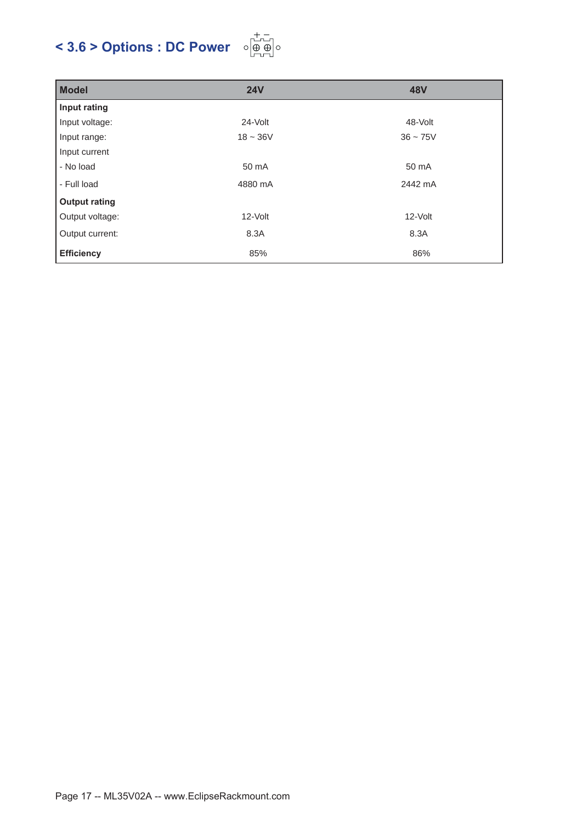# **< 3.6 > Options : DC Power**



| <b>Model</b>         | <b>24V</b> | <b>48V</b> |
|----------------------|------------|------------|
| Input rating         |            |            |
| Input voltage:       | 24-Volt    | 48-Volt    |
| Input range:         | $18 - 36V$ | $36 - 75V$ |
| Input current        |            |            |
| - No load            | 50 mA      | 50 mA      |
| - Full load          | 4880 mA    | 2442 mA    |
| <b>Output rating</b> |            |            |
| Output voltage:      | 12-Volt    | 12-Volt    |
| Output current:      | 8.3A       | 8.3A       |
| <b>Efficiency</b>    | 85%        | 86%        |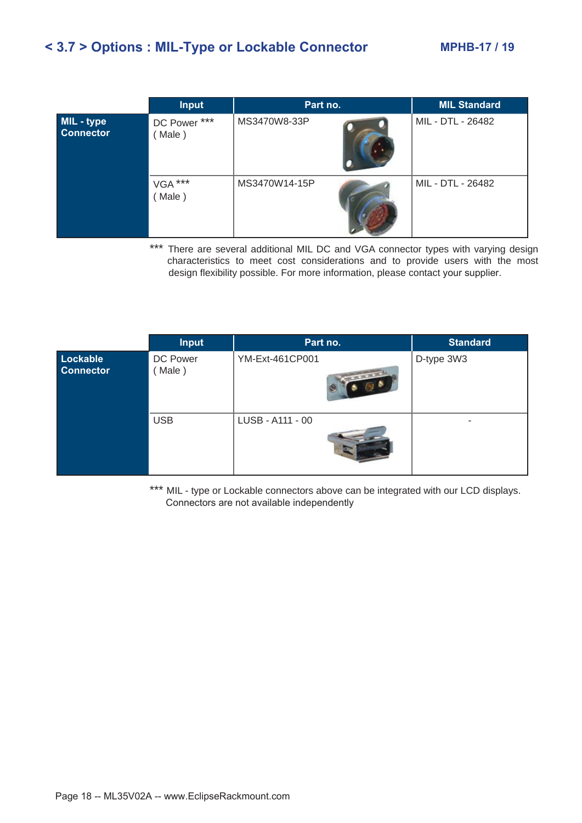### **< 3.7 > Options : MIL-Type or Lockable Connector MPHB-17 / 19**

|                                | <b>Input</b>           | Part no.      | <b>MIL Standard</b> |
|--------------------------------|------------------------|---------------|---------------------|
| MIL - type<br><b>Connector</b> | DC Power ***<br>(Male) | MS3470W8-33P  | MIL - DTL - 26482   |
|                                | VGA ***<br>(Male)      | MS3470W14-15P | MIL - DTL - 26482   |

\*\*\* There are several additional MIL DC and VGA connector types with varying design characteristics to meet cost considerations and to provide users with the most design flexibility possible. For more information, please contact your supplier.

|                              | <b>Input</b>       | Part no.                                                                                                                                                                                                                                                | <b>Standard</b> |
|------------------------------|--------------------|---------------------------------------------------------------------------------------------------------------------------------------------------------------------------------------------------------------------------------------------------------|-----------------|
| Lockable<br><b>Connector</b> | DC Power<br>(Male) | YM-Ext-461CP001<br><b>Contract Contract Contract Contract Contract Contract Contract Contract Contract Contract Contract Contract Contract Contract Contract Contract Contract Contract Contract Contract Contract Contract Contract Contract Contr</b> | D-type 3W3      |
|                              | <b>USB</b>         | LUSB - A111 - 00                                                                                                                                                                                                                                        | ۰               |

\*\*\* MIL - type or Lockable connectors above can be integrated with our LCD displays. Connectors are not available independently